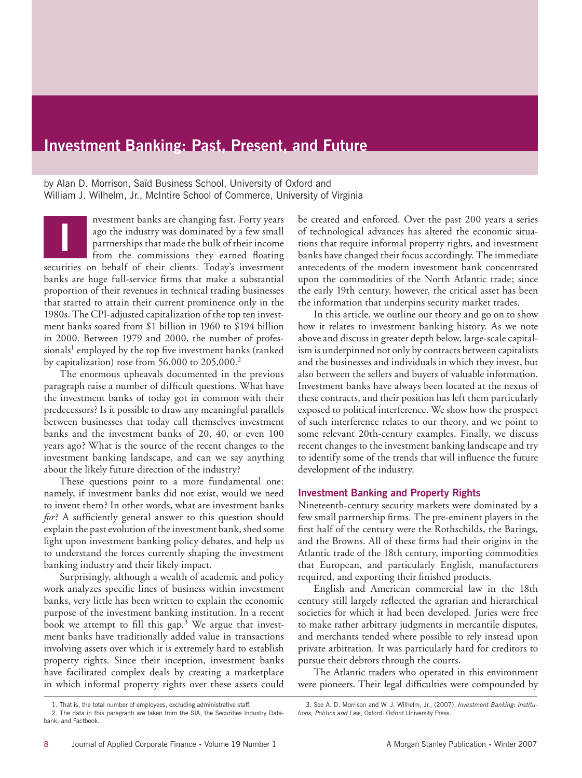# **Investment Banking: Past, Present, and Future**

by Alan D. Morrison, Saïd Business School, University of Oxford and William J. Wilhelm, Jr., McIntire School of Commerce, University of Virginia

nvestment banks are changing fast. Forty years ago the industry was dominated by a few small partnerships that made the bulk of their income from the commissions they earned floating securities on behalf of their clients. Today's investment banks are huge full-service firms that make a substantial proportion of their revenues in technical trading businesses that started to attain their current prominence only in the 1980s. The CPI-adjusted capitalization of the top ten investment banks soared from \$1 billion in 1960 to \$194 billion in 2000. Between 1979 and 2000, the number of professionals<sup>1</sup> employed by the top five investment banks (ranked by capitalization) rose from 56,000 to 205,000.<sup>2</sup> **I**

The enormous upheavals documented in the previous paragraph raise a number of difficult questions. What have the investment banks of today got in common with their predecessors? Is it possible to draw any meaningful parallels between businesses that today call themselves investment banks and the investment banks of 20, 40, or even 100 years ago? What is the source of the recent changes to the investment banking landscape, and can we say anything about the likely future direction of the industry?

These questions point to a more fundamental one: namely, if investment banks did not exist, would we need to invent them? In other words, what are investment banks *for*? A sufficiently general answer to this question should explain the past evolution of the investment bank, shed some light upon investment banking policy debates, and help us to understand the forces currently shaping the investment banking industry and their likely impact.

Surprisingly, although a wealth of academic and policy work analyzes specific lines of business within investment banks, very little has been written to explain the economic purpose of the investment banking institution. In a recent book we attempt to fill this gap.<sup>3</sup> We argue that investment banks have traditionally added value in transactions involving assets over which it is extremely hard to establish property rights. Since their inception, investment banks have facilitated complex deals by creating a marketplace in which informal property rights over these assets could

be created and enforced. Over the past 200 years a series of technological advances has altered the economic situations that require informal property rights, and investment banks have changed their focus accordingly. The immediate antecedents of the modern investment bank concentrated upon the commodities of the North Atlantic trade; since the early 19th century, however, the critical asset has been the information that underpins security market trades.

In this article, we outline our theory and go on to show how it relates to investment banking history. As we note above and discuss in greater depth below, large-scale capitalism is underpinned not only by contracts between capitalists and the businesses and individuals in which they invest, but also between the sellers and buyers of valuable information. Investment banks have always been located at the nexus of these contracts, and their position has left them particularly exposed to political interference. We show how the prospect of such interference relates to our theory, and we point to some relevant 20th-century examples. Finally, we discuss recent changes to the investment banking landscape and try to identify some of the trends that will influence the future development of the industry.

## **Investment Banking and Property Rights**

Nineteenth-century security markets were dominated by a few small partnership firms. The pre-eminent players in the first half of the century were the Rothschilds, the Barings, and the Browns. All of these firms had their origins in the Atlantic trade of the 18th century, importing commodities that European, and particularly English, manufacturers required, and exporting their finished products.

English and American commercial law in the 18th century still largely reflected the agrarian and hierarchical societies for which it had been developed. Juries were free to make rather arbitrary judgments in mercantile disputes, and merchants tended where possible to rely instead upon private arbitration. It was particularly hard for creditors to pursue their debtors through the courts.

The Atlantic traders who operated in this environment were pioneers. Their legal difficulties were compounded by

<sup>1.</sup> That is, the total number of employees, excluding administrative staff.

<sup>2.</sup> The data in this paragraph are taken from the SIA, the Securities Industry Databank, and Factbook.

<sup>3.</sup> See A. D. Morrison and W. J. Wilhelm, Jr., (2007), *Investment Banking: Institutions, Politics and Law*, Oxford: Oxford University Press.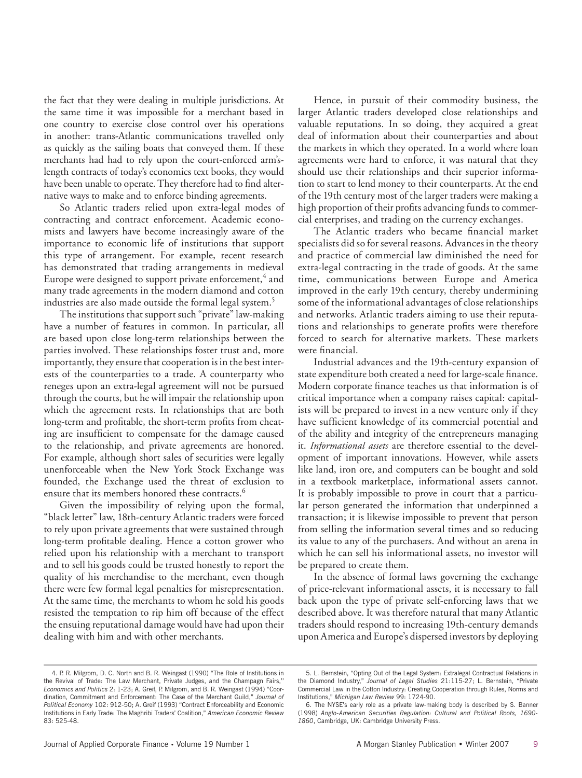the fact that they were dealing in multiple jurisdictions. At the same time it was impossible for a merchant based in one country to exercise close control over his operations in another: trans-Atlantic communications travelled only as quickly as the sailing boats that conveyed them. If these merchants had had to rely upon the court-enforced arm'slength contracts of today's economics text books, they would have been unable to operate. They therefore had to find alternative ways to make and to enforce binding agreements.

So Atlantic traders relied upon extra-legal modes of contracting and contract enforcement. Academic economists and lawyers have become increasingly aware of the importance to economic life of institutions that support this type of arrangement. For example, recent research has demonstrated that trading arrangements in medieval Europe were designed to support private enforcement,<sup>4</sup> and many trade agreements in the modern diamond and cotton industries are also made outside the formal legal system.<sup>5</sup>

The institutions that support such "private" law-making have a number of features in common. In particular, all are based upon close long-term relationships between the parties involved. These relationships foster trust and, more importantly, they ensure that cooperation is in the best interests of the counterparties to a trade. A counterparty who reneges upon an extra-legal agreement will not be pursued through the courts, but he will impair the relationship upon which the agreement rests. In relationships that are both long-term and profitable, the short-term profits from cheating are insufficient to compensate for the damage caused to the relationship, and private agreements are honored. For example, although short sales of securities were legally unenforceable when the New York Stock Exchange was founded, the Exchange used the threat of exclusion to ensure that its members honored these contracts.<sup>6</sup>

Given the impossibility of relying upon the formal, "black letter" law, 18th-century Atlantic traders were forced to rely upon private agreements that were sustained through long-term profitable dealing. Hence a cotton grower who relied upon his relationship with a merchant to transport and to sell his goods could be trusted honestly to report the quality of his merchandise to the merchant, even though there were few formal legal penalties for misrepresentation. At the same time, the merchants to whom he sold his goods resisted the temptation to rip him off because of the effect the ensuing reputational damage would have had upon their dealing with him and with other merchants.

Hence, in pursuit of their commodity business, the larger Atlantic traders developed close relationships and valuable reputations. In so doing, they acquired a great deal of information about their counterparties and about the markets in which they operated. In a world where loan agreements were hard to enforce, it was natural that they should use their relationships and their superior information to start to lend money to their counterparts. At the end of the 19th century most of the larger traders were making a high proportion of their profits advancing funds to commercial enterprises, and trading on the currency exchanges.

The Atlantic traders who became financial market specialists did so for several reasons. Advances in the theory and practice of commercial law diminished the need for extra-legal contracting in the trade of goods. At the same time, communications between Europe and America improved in the early 19th century, thereby undermining some of the informational advantages of close relationships and networks. Atlantic traders aiming to use their reputations and relationships to generate profits were therefore forced to search for alternative markets. These markets were financial.

Industrial advances and the 19th-century expansion of state expenditure both created a need for large-scale finance. Modern corporate finance teaches us that information is of critical importance when a company raises capital: capitalists will be prepared to invest in a new venture only if they have sufficient knowledge of its commercial potential and of the ability and integrity of the entrepreneurs managing it. *Informational assets* are therefore essential to the development of important innovations. However, while assets like land, iron ore, and computers can be bought and sold in a textbook marketplace, informational assets cannot. It is probably impossible to prove in court that a particular person generated the information that underpinned a transaction; it is likewise impossible to prevent that person from selling the information several times and so reducing its value to any of the purchasers. And without an arena in which he can sell his informational assets, no investor will be prepared to create them.

In the absence of formal laws governing the exchange of price-relevant informational assets, it is necessary to fall back upon the type of private self-enforcing laws that we described above. It was therefore natural that many Atlantic traders should respond to increasing 19th-century demands upon America and Europe's dispersed investors by deploying

<sup>4.</sup> P. R. Milgrom, D. C. North and B. R. Weingast (1990) "The Role of Institutions in the Revival of Trade: The Law Merchant, Private Judges, and the Champagn Fairs,'' *Economics and Politics* 2: 1-23; A. Greif, P. Milgrom, and B. R. Weingast (1994) "Coordination, Commitment and Enforcement: The Case of the Merchant Guild," *Journal of Political Economy* 102: 912-50; A. Greif (1993) "Contract Enforceability and Economic Institutions in Early Trade: The Maghribi Traders' Coalition," *American Economic Review* 83: 525-48.

<sup>5.</sup> L. Bernstein, "Opting Out of the Legal System: Extralegal Contractual Relations in the Diamond Industry," *Journal of Legal Studies* 21:115-27; L. Bernstein, "Private Commercial Law in the Cotton Industry: Creating Cooperation through Rules, Norms and Institutions," *Michigan Law Review* 99: 1724-90.

<sup>6.</sup> The NYSE's early role as a private law-making body is described by S. Banner (1998) *Anglo-American Securities Regulation: Cultural and Political Roots, 1690- 1860*, Cambridge, UK: Cambridge University Press.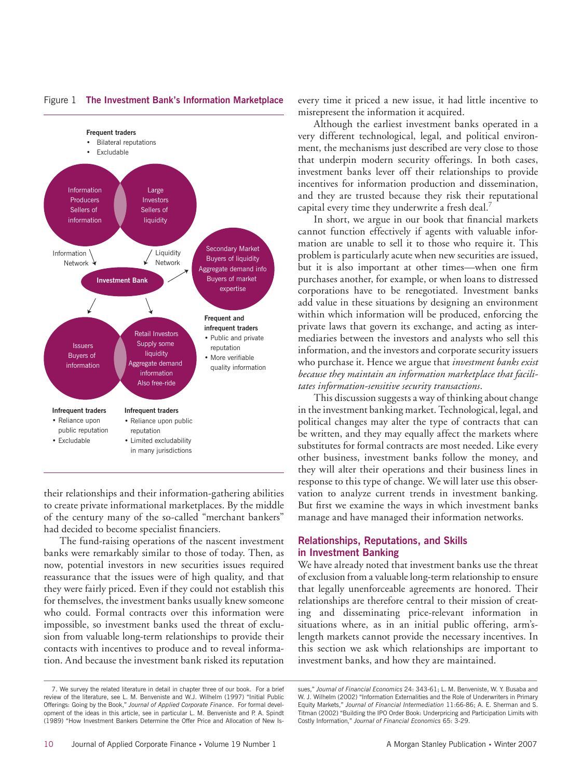

## Figure 1 The Investment Bank's Information Marketplace

their relationships and their information-gathering abilities to create private informational marketplaces. By the middle of the century many of the so-called "merchant bankers" had decided to become specialist financiers.

The fund-raising operations of the nascent investment banks were remarkably similar to those of today. Then, as now, potential investors in new securities issues required reassurance that the issues were of high quality, and that they were fairly priced. Even if they could not establish this for themselves, the investment banks usually knew someone who could. Formal contracts over this information were impossible, so investment banks used the threat of exclusion from valuable long-term relationships to provide their contacts with incentives to produce and to reveal information. And because the investment bank risked its reputation every time it priced a new issue, it had little incentive to misrepresent the information it acquired.

Although the earliest investment banks operated in a very different technological, legal, and political environment, the mechanisms just described are very close to those that underpin modern security offerings. In both cases, investment banks lever off their relationships to provide incentives for information production and dissemination, and they are trusted because they risk their reputational capital every time they underwrite a fresh deal.<sup>7</sup>

In short, we argue in our book that financial markets cannot function effectively if agents with valuable information are unable to sell it to those who require it. This problem is particularly acute when new securities are issued, but it is also important at other times—when one firm purchases another, for example, or when loans to distressed corporations have to be renegotiated. Investment banks add value in these situations by designing an environment within which information will be produced, enforcing the private laws that govern its exchange, and acting as intermediaries between the investors and analysts who sell this information, and the investors and corporate security issuers who purchase it. Hence we argue that *investment banks exist* because they maintain an information marketplace that facilitates information-sensitive security transactions.

This discussion suggests a way of thinking about change in the investment banking market. Technological, legal, and political changes may alter the type of contracts that can be written, and they may equally affect the markets where substitutes for formal contracts are most needed. Like every other business, investment banks follow the money, and they will alter their operations and their business lines in response to this type of change. We will later use this observation to analyze current trends in investment banking. But first we examine the ways in which investment banks manage and have managed their information networks.

# **Relationships, Reputations, and Skills** in Investment Banking

We have already noted that investment banks use the threat of exclusion from a valuable long-term relationship to ensure that legally unenforceable agreements are honored. Their relationships are therefore central to their mission of creating and disseminating price-relevant information in situations where, as in an initial public offering, arm'slength markets cannot provide the necessary incentives. In this section we ask which relationships are important to investment banks, and how they are maintained.

<sup>7.</sup> We survey the related literature in detail in chapter three of our book. For a brief review of the literature, see L. M. Benveniste and W.J. Wilhelm (1997) "Initial Public Offerings: Going by the Book," Journal of Applied Corporate Finance. For formal development of the ideas in this article, see in particular L. M. Benveniste and P. A. Spindt (1989) "How Investment Bankers Determine the Offer Price and Allocation of New Is-

sues," Journal of Financial Economics 24: 343-61; L. M. Benveniste, W. Y. Busaba and W. J. Wilhelm (2002) "Information Externalities and the Role of Underwriters in Primary Equity Markets," Journal of Financial Intermediation 11:66-86; A. E. Sherman and S. Titman (2002) "Building the IPO Order Book: Underpricing and Participation Limits with Costly Information," Journal of Financial Economics 65: 3-29.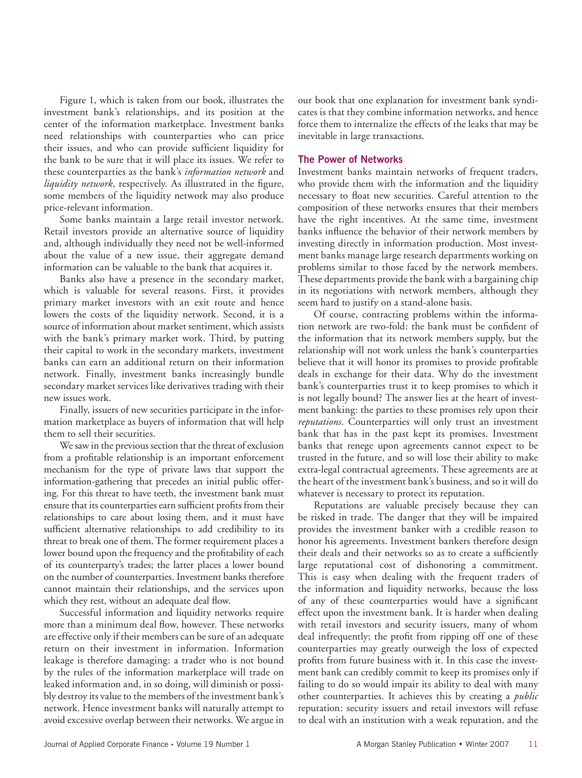Figure 1, which is taken from our book, illustrates the investment bank's relationships, and its position at the center of the information marketplace. Investment banks need relationships with counterparties who can price their issues, and who can provide sufficient liquidity for the bank to be sure that it will place its issues. We refer to these counterparties as the bank's *information network* and liquidity network, respectively. As illustrated in the figure, some members of the liquidity network may also produce price-relevant information.

Some banks maintain a large retail investor network. Retail investors provide an alternative source of liquidity and, although individually they need not be well-informed about the value of a new issue, their aggregate demand information can be valuable to the bank that acquires it.

Banks also have a presence in the secondary market, which is valuable for several reasons. First, it provides primary market investors with an exit route and hence lowers the costs of the liquidity network. Second, it is a source of information about market sentiment, which assists with the bank's primary market work. Third, by putting their capital to work in the secondary markets, investment banks can earn an additional return on their information network. Finally, investment banks increasingly bundle secondary market services like derivatives trading with their new issues work.

Finally, issuers of new securities participate in the information marketplace as buyers of information that will help them to sell their securities.

We saw in the previous section that the threat of exclusion from a profitable relationship is an important enforcement mechanism for the type of private laws that support the information-gathering that precedes an initial public offering. For this threat to have teeth, the investment bank must ensure that its counterparties earn sufficient profits from their relationships to care about losing them, and it must have sufficient alternative relationships to add credibility to its threat to break one of them. The former requirement places a lower bound upon the frequency and the profitability of each of its counterparty's trades; the latter places a lower bound on the number of counterparties. Investment banks therefore cannot maintain their relationships, and the services upon which they rest, without an adequate deal flow.

Successful information and liquidity networks require more than a minimum deal flow, however. These networks are effective only if their members can be sure of an adequate return on their investment in information. Information leakage is therefore damaging: a trader who is not bound by the rules of the information marketplace will trade on leaked information and, in so doing, will diminish or possibly destroy its value to the members of the investment bank's network. Hence investment banks will naturally attempt to avoid excessive overlap between their networks. We argue in

our book that one explanation for investment bank syndicates is that they combine information networks, and hence force them to internalize the effects of the leaks that may be inevitable in large transactions.

## **The Power of Networks**

Investment banks maintain networks of frequent traders, who provide them with the information and the liquidity necessary to float new securities. Careful attention to the composition of these networks ensures that their members have the right incentives. At the same time, investment banks influence the behavior of their network members by investing directly in information production. Most investment banks manage large research departments working on problems similar to those faced by the network members. These departments provide the bank with a bargaining chip in its negotiations with network members, although they seem hard to justify on a stand-alone basis.

Of course, contracting problems within the information network are two-fold: the bank must be confident of the information that its network members supply, but the relationship will not work unless the bank's counterparties believe that it will honor its promises to provide profitable deals in exchange for their data. Why do the investment bank's counterparties trust it to keep promises to which it is not legally bound? The answer lies at the heart of investment banking: the parties to these promises rely upon their *reputations*. Counterparties will only trust an investment bank that has in the past kept its promises. Investment banks that renege upon agreements cannot expect to be trusted in the future, and so will lose their ability to make extra-legal contractual agreements. These agreements are at the heart of the investment bank's business, and so it will do whatever is necessary to protect its reputation.

Reputations are valuable precisely because they can be risked in trade. The danger that they will be impaired provides the investment banker with a credible reason to honor his agreements. Investment bankers therefore design their deals and their networks so as to create a sufficiently large reputational cost of dishonoring a commitment. This is easy when dealing with the frequent traders of the information and liquidity networks, because the loss of any of these counterparties would have a significant effect upon the investment bank. It is harder when dealing with retail investors and security issuers, many of whom deal infrequently; the profit from ripping off one of these counterparties may greatly outweigh the loss of expected profits from future business with it. In this case the investment bank can credibly commit to keep its promises only if failing to do so would impair its ability to deal with many other counterparties. It achieves this by creating a *public* reputation: security issuers and retail investors will refuse to deal with an institution with a weak reputation, and the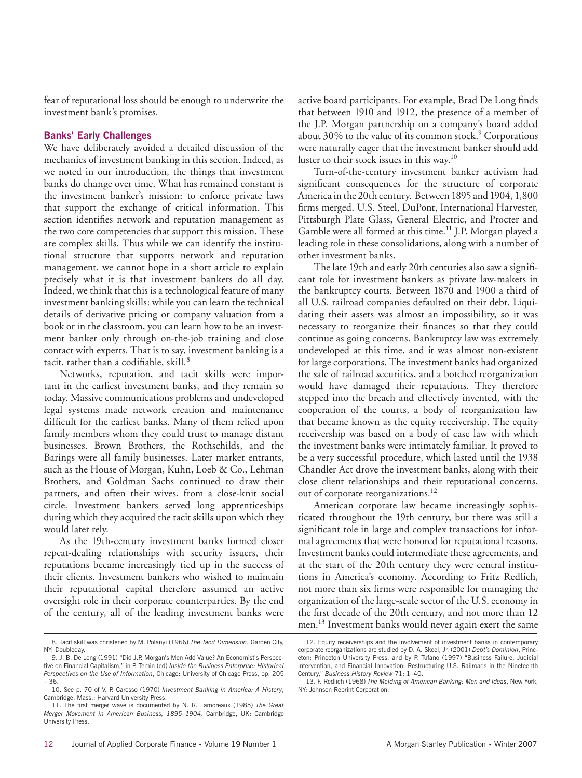fear of reputational loss should be enough to underwrite the investment bank's promises.

# **Banks' Early Challenges**

We have deliberately avoided a detailed discussion of the mechanics of investment banking in this section. Indeed, as we noted in our introduction, the things that investment banks do change over time. What has remained constant is the investment banker's mission: to enforce private laws that support the exchange of critical information. This section identifies network and reputation management as the two core competencies that support this mission. These are complex skills. Thus while we can identify the institutional structure that supports network and reputation management, we cannot hope in a short article to explain precisely what it is that investment bankers do all day. Indeed, we think that this is a technological feature of many investment banking skills: while you can learn the technical details of derivative pricing or company valuation from a book or in the classroom, you can learn how to be an investment banker only through on-the-job training and close contact with experts. That is to say, investment banking is a tacit, rather than a codifiable, skill.<sup>8</sup>

Networks, reputation, and tacit skills were important in the earliest investment banks, and they remain so today. Massive communications problems and undeveloped legal systems made network creation and maintenance difficult for the earliest banks. Many of them relied upon family members whom they could trust to manage distant businesses. Brown Brothers, the Rothschilds, and the Barings were all family businesses. Later market entrants, such as the House of Morgan, Kuhn, Loeb & Co., Lehman Brothers, and Goldman Sachs continued to draw their partners, and often their wives, from a close-knit social circle. Investment bankers served long apprenticeships during which they acquired the tacit skills upon which they would later rely.

As the 19th-century investment banks formed closer repeat-dealing relationships with security issuers, their reputations became increasingly tied up in the success of their clients. Investment bankers who wished to maintain their reputational capital therefore assumed an active oversight role in their corporate counterparties. By the end of the century, all of the leading investment banks were

active board participants. For example, Brad De Long finds that between 1910 and 1912, the presence of a member of the J.P. Morgan partnership on a company's board added about 30% to the value of its common stock.<sup>9</sup> Corporations were naturally eager that the investment banker should add luster to their stock issues in this way.10

Turn-of-the-century investment banker activism had significant consequences for the structure of corporate America in the 20th century. Between 1895 and 1904, 1,800 firms merged. U.S. Steel, DuPont, International Harvester, Pittsburgh Plate Glass, General Electric, and Procter and Gamble were all formed at this time.<sup>11</sup> J.P. Morgan played a leading role in these consolidations, along with a number of other investment banks.

The late 19th and early 20th centuries also saw a significant role for investment bankers as private law-makers in the bankruptcy courts. Between 1870 and 1900 a third of all U.S. railroad companies defaulted on their debt. Liquidating their assets was almost an impossibility, so it was necessary to reorganize their finances so that they could continue as going concerns. Bankruptcy law was extremely undeveloped at this time, and it was almost non-existent for large corporations. The investment banks had organized the sale of railroad securities, and a botched reorganization would have damaged their reputations. They therefore stepped into the breach and effectively invented, with the cooperation of the courts, a body of reorganization law that became known as the equity receivership. The equity receivership was based on a body of case law with which the investment banks were intimately familiar. It proved to be a very successful procedure, which lasted until the 1938 Chandler Act drove the investment banks, along with their close client relationships and their reputational concerns, out of corporate reorganizations.<sup>12</sup>

American corporate law became increasingly sophisticated throughout the 19th century, but there was still a significant role in large and complex transactions for informal agreements that were honored for reputational reasons. Investment banks could intermediate these agreements, and at the start of the 20th century they were central institutions in America's economy. According to Fritz Redlich, not more than six firms were responsible for managing the organization of the large-scale sector of the U.S. economy in the first decade of the 20th century, and not more than 12 men.13 Investment banks would never again exert the same

<sup>8.</sup> Tacit skill was christened by M. Polanyi (1966) *The Tacit Dimension*, Garden City, NY: Doubleday.

<sup>9.</sup> J. B. De Long (1991) "Did J.P. Morgan's Men Add Value? An Economist's Perspective on Financial Capitalism," in P. Temin (ed) *Inside the Business Enterprise: Historical Perspectives on the Use of Information*, Chicago: University of Chicago Press, pp. 205 – 36.

<sup>10.</sup> See p. 70 of V. P. Carosso (1970) *Investment Banking in America: A History*, Cambridge, Mass.: Harvard University Press.

<sup>11.</sup> The first merger wave is documented by N. R. Lamoreaux (1985) The Great *Merger Movement in American Business, 1895–1904,* Cambridge, UK: Cambridge University Press.

<sup>12.</sup> Equity receiverships and the involvement of investment banks in contemporary corporate reorganizations are studied by D. A. Skeel, Jr. (2001) *Debt's Dominion*, Princeton: Princeton University Press, and by P. Tufano (1997) "Business Failure, Judicial Intervention, and Financial Innovation: Restructuring U.S. Railroads in the Nineteenth Century," *Business History Review* 71: 1–40.

<sup>13.</sup> F. Redlich (1968) *The Molding of American Banking: Men and Ideas*, New York, NY: Johnson Reprint Corporation.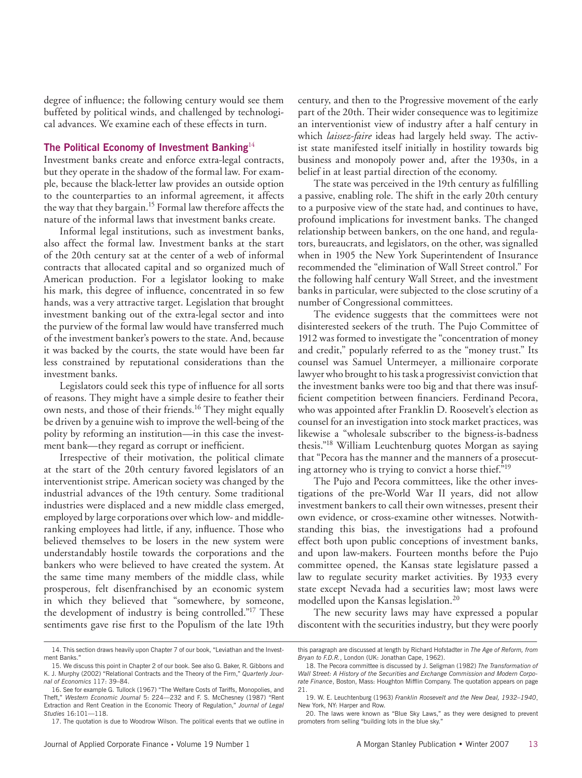degree of influence; the following century would see them buffeted by political winds, and challenged by technological advances. We examine each of these effects in turn.

#### **The Political Economy of Investment Banking**<sup>14</sup>

Investment banks create and enforce extra-legal contracts, but they operate in the shadow of the formal law. For example, because the black-letter law provides an outside option to the counterparties to an informal agreement, it affects the way that they bargain.<sup>15</sup> Formal law therefore affects the nature of the informal laws that investment banks create.

Informal legal institutions, such as investment banks, also affect the formal law. Investment banks at the start of the 20th century sat at the center of a web of informal contracts that allocated capital and so organized much of American production. For a legislator looking to make his mark, this degree of influence, concentrated in so few hands, was a very attractive target. Legislation that brought investment banking out of the extra-legal sector and into the purview of the formal law would have transferred much of the investment banker's powers to the state. And, because it was backed by the courts, the state would have been far less constrained by reputational considerations than the investment banks.

Legislators could seek this type of influence for all sorts of reasons. They might have a simple desire to feather their own nests, and those of their friends.<sup>16</sup> They might equally be driven by a genuine wish to improve the well-being of the polity by reforming an institution—in this case the investment bank—they regard as corrupt or inefficient.

Irrespective of their motivation, the political climate at the start of the 20th century favored legislators of an interventionist stripe. American society was changed by the industrial advances of the 19th century. Some traditional industries were displaced and a new middle class emerged, employed by large corporations over which low- and middleranking employees had little, if any, influence. Those who believed themselves to be losers in the new system were understandably hostile towards the corporations and the bankers who were believed to have created the system. At the same time many members of the middle class, while prosperous, felt disenfranchised by an economic system in which they believed that "somewhere, by someone, the development of industry is being controlled."17 These sentiments gave rise first to the Populism of the late 19th

century, and then to the Progressive movement of the early part of the 20th. Their wider consequence was to legitimize an interventionist view of industry after a half century in which *laissez-faire* ideas had largely held sway. The activist state manifested itself initially in hostility towards big business and monopoly power and, after the 1930s, in a belief in at least partial direction of the economy.

The state was perceived in the 19th century as fulfilling a passive, enabling role. The shift in the early 20th century to a purposive view of the state had, and continues to have, profound implications for investment banks. The changed relationship between bankers, on the one hand, and regulators, bureaucrats, and legislators, on the other, was signalled when in 1905 the New York Superintendent of Insurance recommended the "elimination of Wall Street control." For the following half century Wall Street, and the investment banks in particular, were subjected to the close scrutiny of a number of Congressional committees.

The evidence suggests that the committees were not disinterested seekers of the truth. The Pujo Committee of 1912 was formed to investigate the "concentration of money and credit," popularly referred to as the "money trust." Its counsel was Samuel Untermeyer, a millionaire corporate lawyer who brought to his task a progressivist conviction that the investment banks were too big and that there was insufficient competition between financiers. Ferdinand Pecora, who was appointed after Franklin D. Roosevelt's election as counsel for an investigation into stock market practices, was likewise a "wholesale subscriber to the bigness-is-badness thesis."18 William Leuchtenburg quotes Morgan as saying that "Pecora has the manner and the manners of a prosecuting attorney who is trying to convict a horse thief."19

The Pujo and Pecora committees, like the other investigations of the pre-World War II years, did not allow investment bankers to call their own witnesses, present their own evidence, or cross-examine other witnesses. Notwithstanding this bias, the investigations had a profound effect both upon public conceptions of investment banks, and upon law-makers. Fourteen months before the Pujo committee opened, the Kansas state legislature passed a law to regulate security market activities. By 1933 every state except Nevada had a securities law; most laws were modelled upon the Kansas legislation.<sup>20</sup>

The new security laws may have expressed a popular discontent with the securities industry, but they were poorly

<sup>14.</sup> This section draws heavily upon Chapter 7 of our book, "Leviathan and the Investment Banks."

<sup>15.</sup> We discuss this point in Chapter 2 of our book. See also G. Baker, R. Gibbons and K. J. Murphy (2002) "Relational Contracts and the Theory of the Firm," *Quarterly Journal of Economics* 117: 39–84.

<sup>16.</sup> See for example G. Tullock (1967) "The Welfare Costs of Tariffs, Monopolies, and Theft," *Western Economic Journal* 5: 224—232 and F. S. McChesney (1987) "Rent Extraction and Rent Creation in the Economic Theory of Regulation," *Journal of Legal Studies* 16:101—118.

<sup>17.</sup> The quotation is due to Woodrow Wilson. The political events that we outline in

this paragraph are discussed at length by Richard Hofstadter in *The Age of Reform, from Bryan to F.D.R.*, London (UK: Jonathan Cape, 1962).

<sup>18.</sup> The Pecora committee is discussed by J. Seligman (1982) *The Transformation of Wall Street: A History of the Securities and Exchange Commission and Modern Corpo*rate Finance, Boston, Mass: Houghton Mifflin Company. The quotation appears on page 21.

<sup>19.</sup> W. E. Leuchtenburg (1963) *Franklin Roosevelt and the New Deal, 1932–1940*, New York, NY: Harper and Row.

<sup>20.</sup> The laws were known as "Blue Sky Laws," as they were designed to prevent promoters from selling "building lots in the blue sky."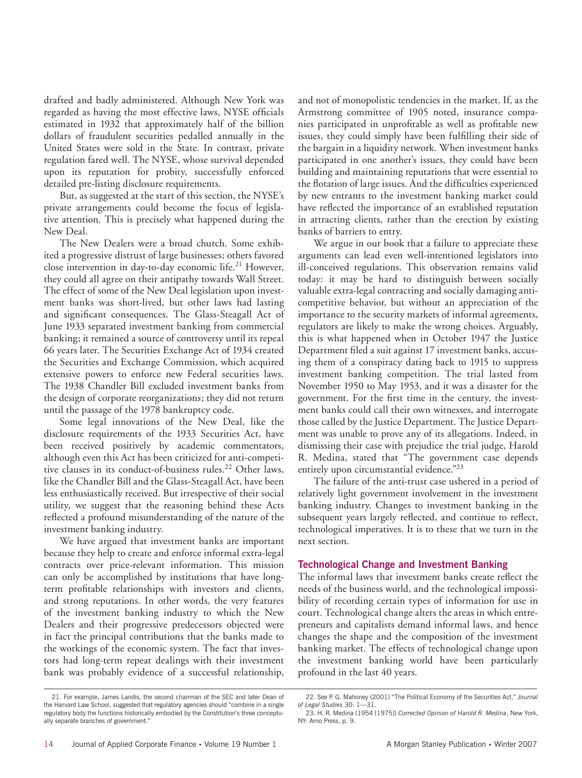drafted and badly administered. Although New York was regarded as having the most effective laws, NYSE officials estimated in 1932 that approximately half of the billion dollars of fraudulent securities pedalled annually in the United States were sold in the State. In contrast, private regulation fared well. The NYSE, whose survival depended upon its reputation for probity, successfully enforced detailed pre-listing disclosure requirements.

But, as suggested at the start of this section, the NYSE's private arrangements could become the focus of legislative attention. This is precisely what happened during the New Deal.

The New Dealers were a broad church. Some exhibited a progressive distrust of large businesses; others favored close intervention in day-to-day economic life.<sup>21</sup> However, they could all agree on their antipathy towards Wall Street. The effect of some of the New Deal legislation upon investment banks was short-lived, but other laws had lasting and significant consequences. The Glass-Steagall Act of June 1933 separated investment banking from commercial banking; it remained a source of controversy until its repeal 66 years later. The Securities Exchange Act of 1934 created the Securities and Exchange Commission, which acquired extensive powers to enforce new Federal securities laws. The 1938 Chandler Bill excluded investment banks from the design of corporate reorganizations; they did not return until the passage of the 1978 bankruptcy code.

Some legal innovations of the New Deal, like the disclosure requirements of the 1933 Securities Act, have been received positively by academic commentators, although even this Act has been criticized for anti-competitive clauses in its conduct-of-business rules.<sup>22</sup> Other laws, like the Chandler Bill and the Glass-Steagall Act, have been less enthusiastically received. But irrespective of their social utility, we suggest that the reasoning behind these Acts reflected a profound misunderstanding of the nature of the investment banking industry.

We have argued that investment banks are important because they help to create and enforce informal extra-legal contracts over price-relevant information. This mission can only be accomplished by institutions that have longterm profitable relationships with investors and clients, and strong reputations. In other words, the very features of the investment banking industry to which the New Dealers and their progressive predecessors objected were in fact the principal contributions that the banks made to the workings of the economic system. The fact that investors had long-term repeat dealings with their investment bank was probably evidence of a successful relationship,

and not of monopolistic tendencies in the market. If, as the Armstrong committee of 1905 noted, insurance companies participated in unprofitable as well as profitable new issues, they could simply have been fulfilling their side of the bargain in a liquidity network. When investment banks participated in one another's issues, they could have been building and maintaining reputations that were essential to the flotation of large issues. And the difficulties experienced by new entrants to the investment banking market could have reflected the importance of an established reputation in attracting clients, rather than the erection by existing banks of barriers to entry.

We argue in our book that a failure to appreciate these arguments can lead even well-intentioned legislators into ill-conceived regulations. This observation remains valid today: it may be hard to distinguish between socially valuable extra-legal contracting and socially damaging anticompetitive behavior, but without an appreciation of the importance to the security markets of informal agreements, regulators are likely to make the wrong choices. Arguably, this is what happened when in October 1947 the Justice Department filed a suit against 17 investment banks, accusing them of a conspiracy dating back to 1915 to suppress investment banking competition. The trial lasted from November 1950 to May 1953, and it was a disaster for the government. For the first time in the century, the investment banks could call their own witnesses, and interrogate those called by the Justice Department. The Justice Department was unable to prove any of its allegations. Indeed, in dismissing their case with prejudice the trial judge, Harold R. Medina, stated that "The government case depends entirely upon circumstantial evidence."<sup>23</sup>

The failure of the anti-trust case ushered in a period of relatively light government involvement in the investment banking industry. Changes to investment banking in the subsequent years largely reflected, and continue to reflect, technological imperatives. It is to these that we turn in the next section.

#### **Technological Change and Investment Banking**

The informal laws that investment banks create reflect the needs of the business world, and the technological impossibility of recording certain types of information for use in court. Technological change alters the areas in which entrepreneurs and capitalists demand informal laws, and hence changes the shape and the composition of the investment banking market. The effects of technological change upon the investment banking world have been particularly profound in the last 40 years.

<sup>21.</sup> For example, James Landis, the second chairman of the SEC and later Dean of the Harvard Law School, suggested that regulatory agencies should "combine in a single regulatory body the functions historically embodied by the Constitution's three conceptually separate branches of government.'

<sup>22.</sup> See P. G. Mahoney (2001) "The Political Economy of the Securities Act," *Journal of Legal Studies* 30: 1—31.

<sup>23.</sup> H. R. Medina (1954 [1975]) *Corrected Opinion of Harold R. Medina*, New York, NY: Arno Press, p. 9.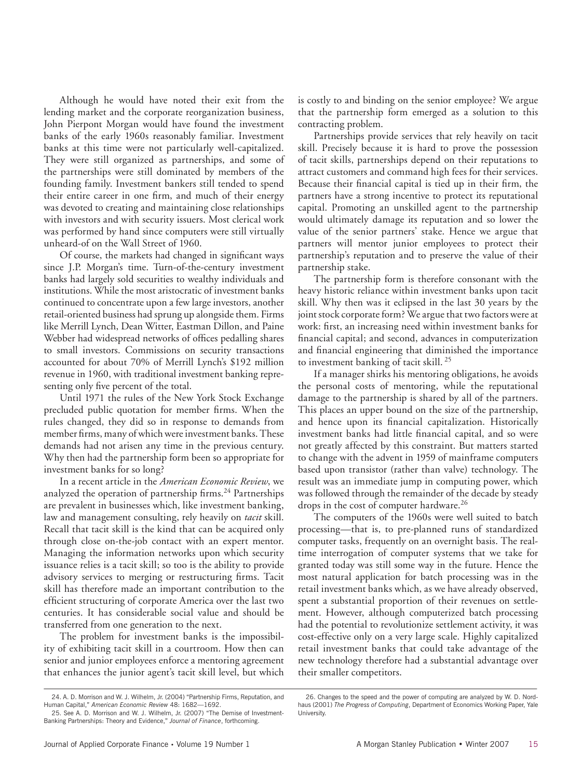Although he would have noted their exit from the lending market and the corporate reorganization business, John Pierpont Morgan would have found the investment banks of the early 1960s reasonably familiar. Investment banks at this time were not particularly well-capitalized. They were still organized as partnerships, and some of the partnerships were still dominated by members of the founding family. Investment bankers still tended to spend their entire career in one firm, and much of their energy was devoted to creating and maintaining close relationships with investors and with security issuers. Most clerical work was performed by hand since computers were still virtually unheard-of on the Wall Street of 1960.

Of course, the markets had changed in significant ways since J.P. Morgan's time. Turn-of-the-century investment banks had largely sold securities to wealthy individuals and institutions. While the most aristocratic of investment banks continued to concentrate upon a few large investors, another retail-oriented business had sprung up alongside them. Firms like Merrill Lynch, Dean Witter, Eastman Dillon, and Paine Webber had widespread networks of offices pedalling shares to small investors. Commissions on security transactions accounted for about 70% of Merrill Lynch's \$192 million revenue in 1960, with traditional investment banking representing only five percent of the total.

Until 1971 the rules of the New York Stock Exchange precluded public quotation for member firms. When the rules changed, they did so in response to demands from member firms, many of which were investment banks. These demands had not arisen any time in the previous century. Why then had the partnership form been so appropriate for investment banks for so long?

In a recent article in the *American Economic Review*, we analyzed the operation of partnership firms.<sup>24</sup> Partnerships are prevalent in businesses which, like investment banking, law and management consulting, rely heavily on *tacit* skill. Recall that tacit skill is the kind that can be acquired only through close on-the-job contact with an expert mentor. Managing the information networks upon which security issuance relies is a tacit skill; so too is the ability to provide advisory services to merging or restructuring firms. Tacit skill has therefore made an important contribution to the efficient structuring of corporate America over the last two centuries. It has considerable social value and should be transferred from one generation to the next.

The problem for investment banks is the impossibility of exhibiting tacit skill in a courtroom. How then can senior and junior employees enforce a mentoring agreement that enhances the junior agent's tacit skill level, but which is costly to and binding on the senior employee? We argue that the partnership form emerged as a solution to this contracting problem.

Partnerships provide services that rely heavily on tacit skill. Precisely because it is hard to prove the possession of tacit skills, partnerships depend on their reputations to attract customers and command high fees for their services. Because their financial capital is tied up in their firm, the partners have a strong incentive to protect its reputational capital. Promoting an unskilled agent to the partnership would ultimately damage its reputation and so lower the value of the senior partners' stake. Hence we argue that partners will mentor junior employees to protect their partnership's reputation and to preserve the value of their partnership stake.

The partnership form is therefore consonant with the heavy historic reliance within investment banks upon tacit skill. Why then was it eclipsed in the last 30 years by the joint stock corporate form? We argue that two factors were at work: first, an increasing need within investment banks for financial capital; and second, advances in computerization and financial engineering that diminished the importance to investment banking of tacit skill.<sup>25</sup>

If a manager shirks his mentoring obligations, he avoids the personal costs of mentoring, while the reputational damage to the partnership is shared by all of the partners. This places an upper bound on the size of the partnership, and hence upon its financial capitalization. Historically investment banks had little financial capital, and so were not greatly affected by this constraint. But matters started to change with the advent in 1959 of mainframe computers based upon transistor (rather than valve) technology. The result was an immediate jump in computing power, which was followed through the remainder of the decade by steady drops in the cost of computer hardware.<sup>26</sup>

The computers of the 1960s were well suited to batch processing—that is, to pre-planned runs of standardized computer tasks, frequently on an overnight basis. The realtime interrogation of computer systems that we take for granted today was still some way in the future. Hence the most natural application for batch processing was in the retail investment banks which, as we have already observed, spent a substantial proportion of their revenues on settlement. However, although computerized batch processing had the potential to revolutionize settlement activity, it was cost-effective only on a very large scale. Highly capitalized retail investment banks that could take advantage of the new technology therefore had a substantial advantage over their smaller competitors.

<sup>24.</sup> A. D. Morrison and W. J. Wilhelm, Jr. (2004) "Partnership Firms, Reputation, and Human Capital," *American Economic Review* 48: 1682—1692.

<sup>25.</sup> See A. D. Morrison and W. J. Wilhelm, Jr. (2007) "The Demise of Investment-Banking Partnerships: Theory and Evidence," *Journal of Finance*, forthcoming.

<sup>26.</sup> Changes to the speed and the power of computing are analyzed by W. D. Nordhaus (2001) *The Progress of Computing*, Department of Economics Working Paper, Yale University.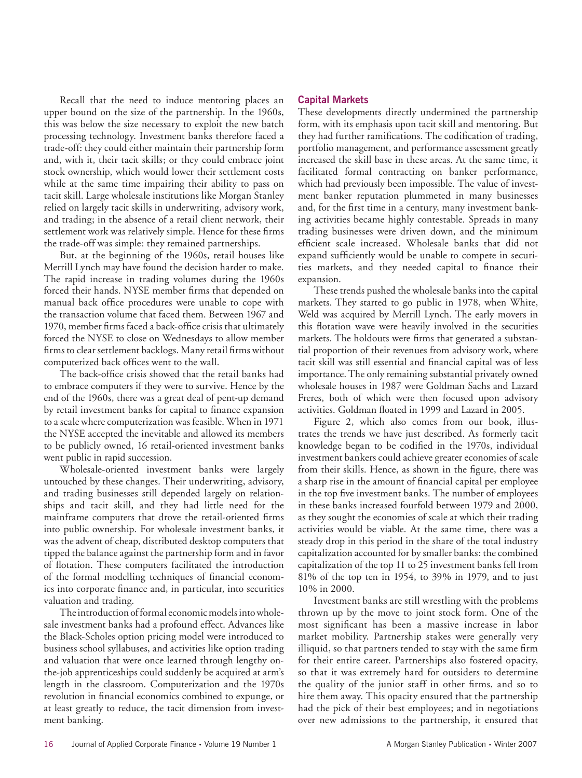Recall that the need to induce mentoring places an upper bound on the size of the partnership. In the 1960s, this was below the size necessary to exploit the new batch processing technology. Investment banks therefore faced a trade-off: they could either maintain their partnership form and, with it, their tacit skills; or they could embrace joint stock ownership, which would lower their settlement costs while at the same time impairing their ability to pass on tacit skill. Large wholesale institutions like Morgan Stanley relied on largely tacit skills in underwriting, advisory work, and trading; in the absence of a retail client network, their settlement work was relatively simple. Hence for these firms the trade-off was simple: they remained partnerships.

But, at the beginning of the 1960s, retail houses like Merrill Lynch may have found the decision harder to make. The rapid increase in trading volumes during the 1960s forced their hands. NYSE member firms that depended on manual back office procedures were unable to cope with the transaction volume that faced them. Between 1967 and 1970, member firms faced a back-office crisis that ultimately forced the NYSE to close on Wednesdays to allow member firms to clear settlement backlogs. Many retail firms without computerized back offices went to the wall.

The back-office crisis showed that the retail banks had to embrace computers if they were to survive. Hence by the end of the 1960s, there was a great deal of pent-up demand by retail investment banks for capital to finance expansion to a scale where computerization was feasible. When in 1971 the NYSE accepted the inevitable and allowed its members to be publicly owned, 16 retail-oriented investment banks went public in rapid succession.

Wholesale-oriented investment banks were largely untouched by these changes. Their underwriting, advisory, and trading businesses still depended largely on relationships and tacit skill, and they had little need for the mainframe computers that drove the retail-oriented firms into public ownership. For wholesale investment banks, it was the advent of cheap, distributed desktop computers that tipped the balance against the partnership form and in favor of flotation. These computers facilitated the introduction of the formal modelling techniques of financial economics into corporate finance and, in particular, into securities valuation and trading.

The introduction of formal economic models into wholesale investment banks had a profound effect. Advances like the Black-Scholes option pricing model were introduced to business school syllabuses, and activities like option trading and valuation that were once learned through lengthy onthe-job apprenticeships could suddenly be acquired at arm's length in the classroom. Computerization and the 1970s revolution in financial economics combined to expunge, or at least greatly to reduce, the tacit dimension from investment banking.

# **Capital Markets**

These developments directly undermined the partnership form, with its emphasis upon tacit skill and mentoring. But they had further ramifications. The codification of trading, portfolio management, and performance assessment greatly increased the skill base in these areas. At the same time, it facilitated formal contracting on banker performance, which had previously been impossible. The value of investment banker reputation plummeted in many businesses and, for the first time in a century, many investment banking activities became highly contestable. Spreads in many trading businesses were driven down, and the minimum efficient scale increased. Wholesale banks that did not expand sufficiently would be unable to compete in securities markets, and they needed capital to finance their expansion.

These trends pushed the wholesale banks into the capital markets. They started to go public in 1978, when White, Weld was acquired by Merrill Lynch. The early movers in this flotation wave were heavily involved in the securities markets. The holdouts were firms that generated a substantial proportion of their revenues from advisory work, where tacit skill was still essential and financial capital was of less importance. The only remaining substantial privately owned wholesale houses in 1987 were Goldman Sachs and Lazard Freres, both of which were then focused upon advisory activities. Goldman floated in 1999 and Lazard in 2005.

Figure 2, which also comes from our book, illustrates the trends we have just described. As formerly tacit knowledge began to be codified in the 1970s, individual investment bankers could achieve greater economies of scale from their skills. Hence, as shown in the figure, there was a sharp rise in the amount of financial capital per employee in the top five investment banks. The number of employees in these banks increased fourfold between 1979 and 2000, as they sought the economies of scale at which their trading activities would be viable. At the same time, there was a steady drop in this period in the share of the total industry capitalization accounted for by smaller banks: the combined capitalization of the top 11 to 25 investment banks fell from 81% of the top ten in 1954, to 39% in 1979, and to just 10% in 2000.

Investment banks are still wrestling with the problems thrown up by the move to joint stock form. One of the most significant has been a massive increase in labor market mobility. Partnership stakes were generally very illiquid, so that partners tended to stay with the same firm for their entire career. Partnerships also fostered opacity, so that it was extremely hard for outsiders to determine the quality of the junior staff in other firms, and so to hire them away. This opacity ensured that the partnership had the pick of their best employees; and in negotiations over new admissions to the partnership, it ensured that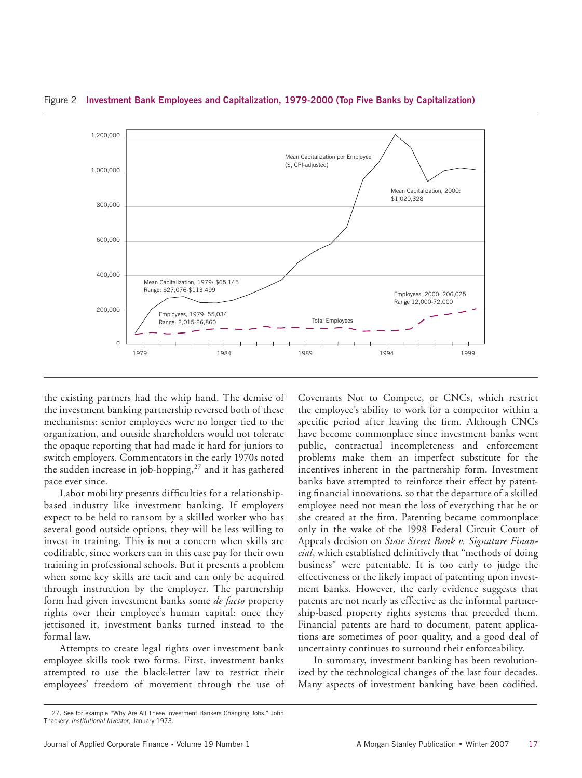

Figure 2 Investment Bank Employees and Capitalization, 1979-2000 (Top Five Banks by Capitalization)

the existing partners had the whip hand. The demise of the investment banking partnership reversed both of these mechanisms: senior employees were no longer tied to the organization, and outside shareholders would not tolerate the opaque reporting that had made it hard for juniors to switch employers. Commentators in the early 1970s noted the sudden increase in job-hopping,<sup>27</sup> and it has gathered pace ever since.

Labor mobility presents difficulties for a relationshipbased industry like investment banking. If employers expect to be held to ransom by a skilled worker who has several good outside options, they will be less willing to invest in training. This is not a concern when skills are codifiable, since workers can in this case pay for their own training in professional schools. But it presents a problem when some key skills are tacit and can only be acquired through instruction by the employer. The partnership form had given investment banks some *de facto* property rights over their employee's human capital: once they jettisoned it, investment banks turned instead to the formal law.

Attempts to create legal rights over investment bank employee skills took two forms. First, investment banks attempted to use the black-letter law to restrict their employees' freedom of movement through the use of Covenants Not to Compete, or CNCs, which restrict the employee's ability to work for a competitor within a specific period after leaving the firm. Although CNCs have become commonplace since investment banks went public, contractual incompleteness and enforcement problems make them an imperfect substitute for the incentives inherent in the partnership form. Investment banks have attempted to reinforce their effect by patenting financial innovations, so that the departure of a skilled employee need not mean the loss of everything that he or she created at the firm. Patenting became commonplace only in the wake of the 1998 Federal Circuit Court of Appeals decision on State Street Bank v. Signature Financial, which established definitively that "methods of doing business" were patentable. It is too early to judge the effectiveness or the likely impact of patenting upon investment banks. However, the early evidence suggests that patents are not nearly as effective as the informal partnership-based property rights systems that preceded them. Financial patents are hard to document, patent applications are sometimes of poor quality, and a good deal of uncertainty continues to surround their enforceability.

In summary, investment banking has been revolutionized by the technological changes of the last four decades. Many aspects of investment banking have been codified.

<sup>27.</sup> See for example "Why Are All These Investment Bankers Changing Jobs," John Thackery, Institutional Investor, January 1973.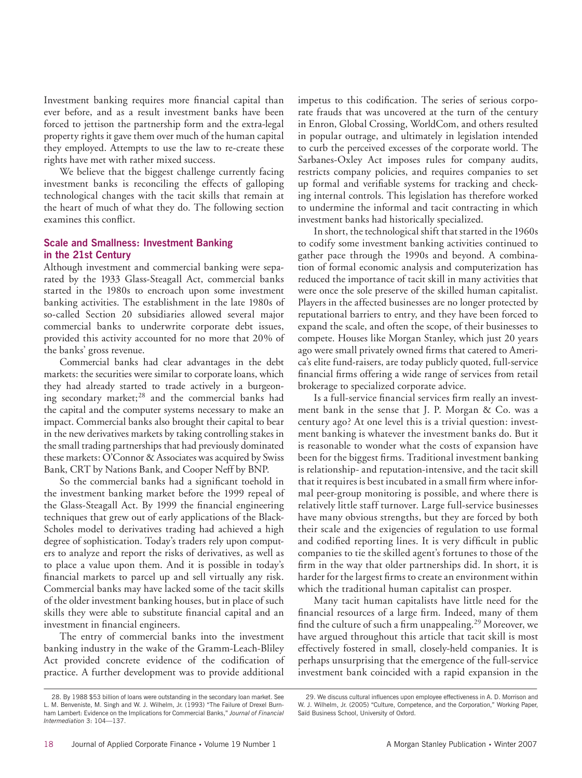Investment banking requires more financial capital than ever before, and as a result investment banks have been forced to jettison the partnership form and the extra-legal property rights it gave them over much of the human capital they employed. Attempts to use the law to re-create these rights have met with rather mixed success.

We believe that the biggest challenge currently facing investment banks is reconciling the effects of galloping technological changes with the tacit skills that remain at the heart of much of what they do. The following section examines this conflict.

# **Scale and Smallness: Investment Banking in the 21st Century**

Although investment and commercial banking were separated by the 1933 Glass-Steagall Act, commercial banks started in the 1980s to encroach upon some investment banking activities. The establishment in the late 1980s of so-called Section 20 subsidiaries allowed several major commercial banks to underwrite corporate debt issues, provided this activity accounted for no more that 20% of the banks' gross revenue.

Commercial banks had clear advantages in the debt markets: the securities were similar to corporate loans, which they had already started to trade actively in a burgeoning secondary market;<sup>28</sup> and the commercial banks had the capital and the computer systems necessary to make an impact. Commercial banks also brought their capital to bear in the new derivatives markets by taking controlling stakes in the small trading partnerships that had previously dominated these markets: O'Connor & Associates was acquired by Swiss Bank, CRT by Nations Bank, and Cooper Neff by BNP.

So the commercial banks had a significant toehold in the investment banking market before the 1999 repeal of the Glass-Steagall Act. By 1999 the financial engineering techniques that grew out of early applications of the Black-Scholes model to derivatives trading had achieved a high degree of sophistication. Today's traders rely upon computers to analyze and report the risks of derivatives, as well as to place a value upon them. And it is possible in today's financial markets to parcel up and sell virtually any risk. Commercial banks may have lacked some of the tacit skills of the older investment banking houses, but in place of such skills they were able to substitute financial capital and an investment in financial engineers.

The entry of commercial banks into the investment banking industry in the wake of the Gramm-Leach-Bliley Act provided concrete evidence of the codification of practice. A further development was to provide additional impetus to this codification. The series of serious corporate frauds that was uncovered at the turn of the century in Enron, Global Crossing, WorldCom, and others resulted in popular outrage, and ultimately in legislation intended to curb the perceived excesses of the corporate world. The Sarbanes-Oxley Act imposes rules for company audits, restricts company policies, and requires companies to set up formal and verifiable systems for tracking and checking internal controls. This legislation has therefore worked to undermine the informal and tacit contracting in which investment banks had historically specialized.

In short, the technological shift that started in the 1960s to codify some investment banking activities continued to gather pace through the 1990s and beyond. A combination of formal economic analysis and computerization has reduced the importance of tacit skill in many activities that were once the sole preserve of the skilled human capitalist. Players in the affected businesses are no longer protected by reputational barriers to entry, and they have been forced to expand the scale, and often the scope, of their businesses to compete. Houses like Morgan Stanley, which just 20 years ago were small privately owned firms that catered to America's elite fund-raisers, are today publicly quoted, full-service financial firms offering a wide range of services from retail brokerage to specialized corporate advice.

Is a full-service financial services firm really an investment bank in the sense that J. P. Morgan & Co. was a century ago? At one level this is a trivial question: investment banking is whatever the investment banks do. But it is reasonable to wonder what the costs of expansion have been for the biggest firms. Traditional investment banking is relationship- and reputation-intensive, and the tacit skill that it requires is best incubated in a small firm where informal peer-group monitoring is possible, and where there is relatively little staff turnover. Large full-service businesses have many obvious strengths, but they are forced by both their scale and the exigencies of regulation to use formal and codified reporting lines. It is very difficult in public companies to tie the skilled agent's fortunes to those of the firm in the way that older partnerships did. In short, it is harder for the largest firms to create an environment within which the traditional human capitalist can prosper.

Many tacit human capitalists have little need for the financial resources of a large firm. Indeed, many of them find the culture of such a firm unappealing.<sup>29</sup> Moreover, we have argued throughout this article that tacit skill is most effectively fostered in small, closely-held companies. It is perhaps unsurprising that the emergence of the full-service investment bank coincided with a rapid expansion in the

<sup>28.</sup> By 1988 \$53 billion of loans were outstanding in the secondary loan market. See L. M. Benveniste, M. Singh and W. J. Wilhelm, Jr. (1993) "The Failure of Drexel Burnham Lambert: Evidence on the Implications for Commercial Banks," *Journal of Financial Intermediation* 3: 104—137.

<sup>29.</sup> We discuss cultural influences upon employee effectiveness in A. D. Morrison and W. J. Wilhelm, Jr. (2005) "Culture, Competence, and the Corporation," Working Paper, Saïd Business School, University of Oxford.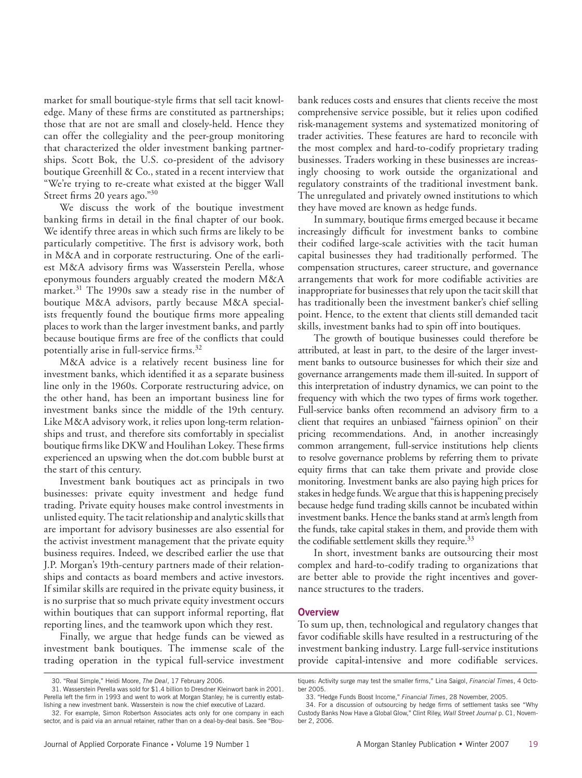market for small boutique-style firms that sell tacit knowledge. Many of these firms are constituted as partnerships; those that are not are small and closely-held. Hence they can offer the collegiality and the peer-group monitoring that characterized the older investment banking partnerships. Scott Bok, the U.S. co-president of the advisory boutique Greenhill & Co., stated in a recent interview that "We're trying to re-create what existed at the bigger Wall Street firms 20 years ago."30

We discuss the work of the boutique investment banking firms in detail in the final chapter of our book. We identify three areas in which such firms are likely to be particularly competitive. The first is advisory work, both in M&A and in corporate restructuring. One of the earliest M&A advisory firms was Wasserstein Perella, whose eponymous founders arguably created the modern M&A market.<sup>31</sup> The 1990s saw a steady rise in the number of boutique M&A advisors, partly because M&A specialists frequently found the boutique firms more appealing places to work than the larger investment banks, and partly because boutique firms are free of the conflicts that could potentially arise in full-service firms.<sup>32</sup>

M&A advice is a relatively recent business line for investment banks, which identified it as a separate business line only in the 1960s. Corporate restructuring advice, on the other hand, has been an important business line for investment banks since the middle of the 19th century. Like M&A advisory work, it relies upon long-term relationships and trust, and therefore sits comfortably in specialist boutique firms like DKW and Houlihan Lokey. These firms experienced an upswing when the dot.com bubble burst at the start of this century.

Investment bank boutiques act as principals in two businesses: private equity investment and hedge fund trading. Private equity houses make control investments in unlisted equity. The tacit relationship and analytic skills that are important for advisory businesses are also essential for the activist investment management that the private equity business requires. Indeed, we described earlier the use that J.P. Morgan's 19th-century partners made of their relationships and contacts as board members and active investors. If similar skills are required in the private equity business, it is no surprise that so much private equity investment occurs within boutiques that can support informal reporting, flat reporting lines, and the teamwork upon which they rest.

Finally, we argue that hedge funds can be viewed as investment bank boutiques. The immense scale of the trading operation in the typical full-service investment

31. Wasserstein Perella was sold for \$1.4 billion to Dresdner Kleinwort bank in 2001. Perella left the firm in 1993 and went to work at Morgan Stanley; he is currently establishing a new investment bank. Wasserstein is now the chief executive of Lazard.

bank reduces costs and ensures that clients receive the most comprehensive service possible, but it relies upon codified risk-management systems and systematized monitoring of trader activities. These features are hard to reconcile with the most complex and hard-to-codify proprietary trading businesses. Traders working in these businesses are increasingly choosing to work outside the organizational and regulatory constraints of the traditional investment bank. The unregulated and privately owned institutions to which they have moved are known as hedge funds.

In summary, boutique firms emerged because it became increasingly difficult for investment banks to combine their codified large-scale activities with the tacit human capital businesses they had traditionally performed. The compensation structures, career structure, and governance arrangements that work for more codifiable activities are inappropriate for businesses that rely upon the tacit skill that has traditionally been the investment banker's chief selling point. Hence, to the extent that clients still demanded tacit skills, investment banks had to spin off into boutiques.

The growth of boutique businesses could therefore be attributed, at least in part, to the desire of the larger investment banks to outsource businesses for which their size and governance arrangements made them ill-suited. In support of this interpretation of industry dynamics, we can point to the frequency with which the two types of firms work together. Full-service banks often recommend an advisory firm to a client that requires an unbiased "fairness opinion" on their pricing recommendations. And, in another increasingly common arrangement, full-service institutions help clients to resolve governance problems by referring them to private equity firms that can take them private and provide close monitoring. Investment banks are also paying high prices for stakes in hedge funds. We argue that this is happening precisely because hedge fund trading skills cannot be incubated within investment banks. Hence the banks stand at arm's length from the funds, take capital stakes in them, and provide them with the codifiable settlement skills they require. $33$ 

In short, investment banks are outsourcing their most complex and hard-to-codify trading to organizations that are better able to provide the right incentives and governance structures to the traders.

#### **Overview**

To sum up, then, technological and regulatory changes that favor codifiable skills have resulted in a restructuring of the investment banking industry. Large full-service institutions provide capital-intensive and more codifiable services.

<sup>30. &</sup>quot;Real Simple," Heidi Moore, *The Deal*, 17 February 2006.

<sup>32.</sup> For example, Simon Robertson Associates acts only for one company in each sector, and is paid via an annual retainer, rather than on a deal-by-deal basis. See "Bou-

tiques: Activity surge may test the smaller firms," Lina Saigol, *Financial Times*, 4 October 2005.

<sup>33. &</sup>quot;Hedge Funds Boost Income," *Financial Times*, 28 November, 2005.

<sup>34.</sup> For a discussion of outsourcing by hedge firms of settlement tasks see "Why Custody Banks Now Have a Global Glow," Clint Riley, *Wall Street Journal* p. C1, November 2, 2006.